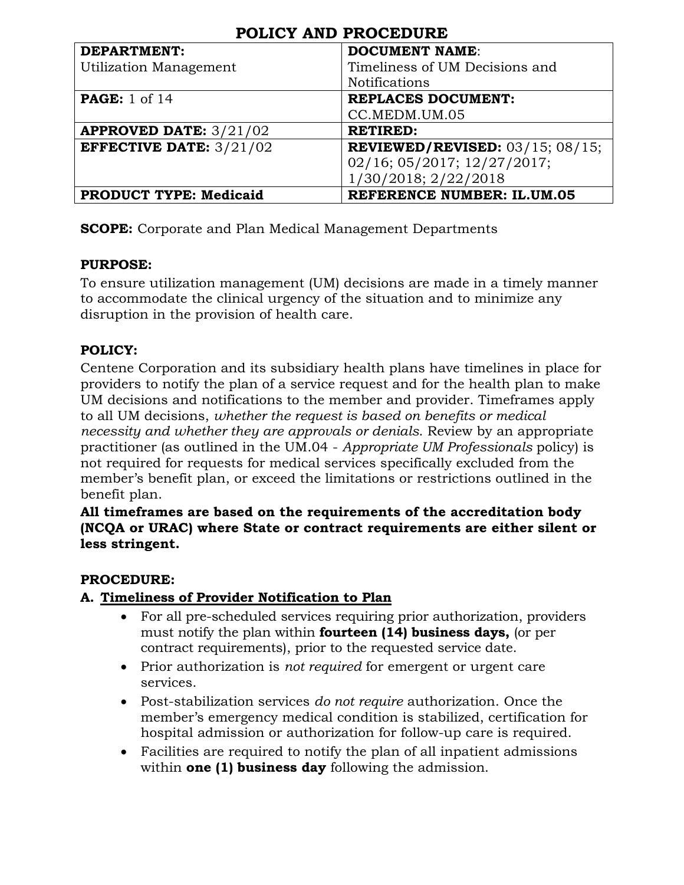| <b>DEPARTMENT:</b>               | <b>DOCUMENT NAME:</b>                        |
|----------------------------------|----------------------------------------------|
| Utilization Management           | Timeliness of UM Decisions and               |
|                                  | <b>Notifications</b>                         |
| <b>PAGE:</b> 1 of 14             | <b>REPLACES DOCUMENT:</b>                    |
|                                  | CC.MEDM.UM.05                                |
| <b>APPROVED DATE:</b> $3/21/02$  | <b>RETIRED:</b>                              |
| <b>EFFECTIVE DATE:</b> $3/21/02$ | <b>REVIEWED/REVISED:</b> $03/15$ ; $08/15$ ; |
|                                  | 02/16; 05/2017; 12/27/2017;                  |
|                                  | 1/30/2018; 2/22/2018                         |
| <b>PRODUCT TYPE: Medicaid</b>    | <b>REFERENCE NUMBER: IL.UM.05</b>            |

**SCOPE:** Corporate and Plan Medical Management Departments

#### **PURPOSE:**

To ensure utilization management (UM) decisions are made in a timely manner to accommodate the clinical urgency of the situation and to minimize any disruption in the provision of health care.

#### **POLICY:**

Centene Corporation and its subsidiary health plans have timelines in place for providers to notify the plan of a service request and for the health plan to make UM decisions and notifications to the member and provider. Timeframes apply to all UM decisions, *whether the request is based on benefits or medical necessity and whether they are approvals or denials*. Review by an appropriate practitioner (as outlined in the UM.04 - *Appropriate UM Professionals* policy) is not required for requests for medical services specifically excluded from the member's benefit plan, or exceed the limitations or restrictions outlined in the benefit plan.

**All timeframes are based on the requirements of the accreditation body (NCQA or URAC) where State or contract requirements are either silent or less stringent.**

#### **PROCEDURE:**

#### **A. Timeliness of Provider Notification to Plan**

- For all pre-scheduled services requiring prior authorization, providers must notify the plan within **fourteen (14) business days,** (or per contract requirements), prior to the requested service date.
- Prior authorization is *not required* for emergent or urgent care services.
- Post-stabilization services *do not require* authorization. Once the member's emergency medical condition is stabilized, certification for hospital admission or authorization for follow-up care is required.
- Facilities are required to notify the plan of all inpatient admissions within **one (1) business day** following the admission.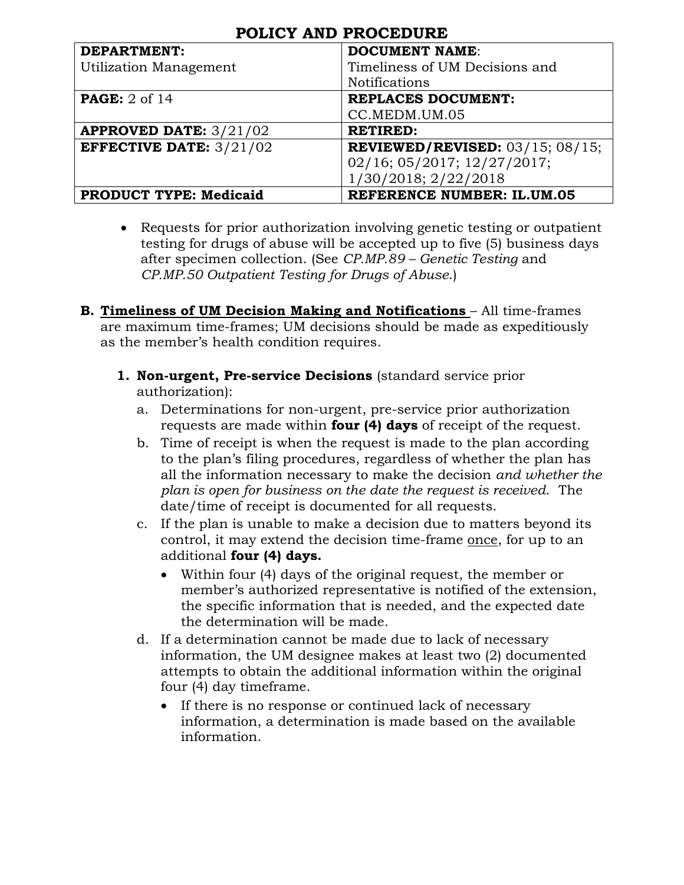| <b>DEPARTMENT:</b>               | <b>DOCUMENT NAME:</b>                        |
|----------------------------------|----------------------------------------------|
| <b>Utilization Management</b>    | Timeliness of UM Decisions and               |
|                                  | <b>Notifications</b>                         |
| <b>PAGE:</b> 2 of 14             | <b>REPLACES DOCUMENT:</b>                    |
|                                  | CC.MEDM.UM.05                                |
| <b>APPROVED DATE:</b> $3/21/02$  | <b>RETIRED:</b>                              |
| <b>EFFECTIVE DATE:</b> $3/21/02$ | <b>REVIEWED/REVISED:</b> $03/15$ ; $08/15$ ; |
|                                  | 02/16; 05/2017; 12/27/2017;                  |
|                                  | 1/30/2018; 2/22/2018                         |
| <b>PRODUCT TYPE: Medicaid</b>    | <b>REFERENCE NUMBER: IL.UM.05</b>            |

- Requests for prior authorization involving genetic testing or outpatient testing for drugs of abuse will be accepted up to five (5) business days after specimen collection. (See *CP.MP.89 – Genetic Testing* and *CP.MP.50 Outpatient Testing for Drugs of Abuse*.)
- **B. Timeliness of UM Decision Making and Notifications All time-frames** are maximum time-frames; UM decisions should be made as expeditiously as the member's health condition requires.
	- **1. Non-urgent, Pre-service Decisions** (standard service prior authorization):
		- a. Determinations for non-urgent, pre-service prior authorization requests are made within **four (4) days** of receipt of the request.
		- b. Time of receipt is when the request is made to the plan according to the plan's filing procedures, regardless of whether the plan has all the information necessary to make the decision *and whether the plan is open for business on the date the request is received*. The date/time of receipt is documented for all requests.
		- c. If the plan is unable to make a decision due to matters beyond its control, it may extend the decision time-frame once, for up to an additional **four (4) days.** 
			- Within four (4) days of the original request, the member or member's authorized representative is notified of the extension, the specific information that is needed, and the expected date the determination will be made.
		- d. If a determination cannot be made due to lack of necessary information, the UM designee makes at least two (2) documented attempts to obtain the additional information within the original four (4) day timeframe.
			- If there is no response or continued lack of necessary information, a determination is made based on the available information.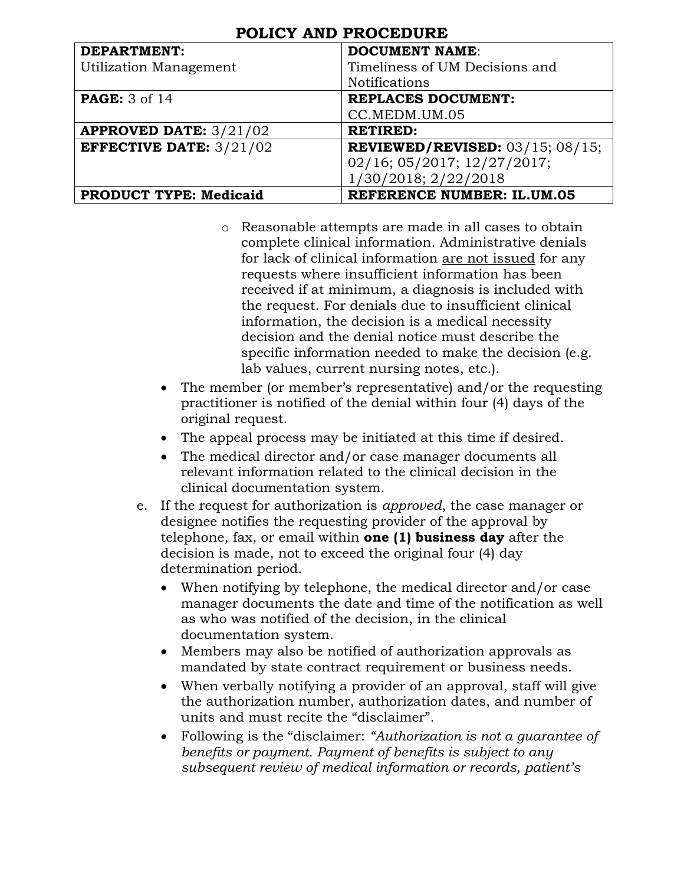| <b>DEPARTMENT:</b>               | <b>DOCUMENT NAME:</b>                        |
|----------------------------------|----------------------------------------------|
| <b>Utilization Management</b>    | Timeliness of UM Decisions and               |
|                                  | <b>Notifications</b>                         |
| <b>PAGE:</b> 3 of 14             | <b>REPLACES DOCUMENT:</b>                    |
|                                  | CC.MEDM.UM.05                                |
| <b>APPROVED DATE:</b> $3/21/02$  | <b>RETIRED:</b>                              |
| <b>EFFECTIVE DATE:</b> $3/21/02$ | <b>REVIEWED/REVISED:</b> $03/15$ ; $08/15$ ; |
|                                  | 02/16; 05/2017; 12/27/2017;                  |
|                                  | 1/30/2018; 2/22/2018                         |
| <b>PRODUCT TYPE: Medicaid</b>    | <b>REFERENCE NUMBER: IL.UM.05</b>            |

- o Reasonable attempts are made in all cases to obtain complete clinical information. Administrative denials for lack of clinical information are not issued for any requests where insufficient information has been received if at minimum, a diagnosis is included with the request. For denials due to insufficient clinical information, the decision is a medical necessity decision and the denial notice must describe the specific information needed to make the decision (e.g. lab values, current nursing notes, etc.).
- The member (or member's representative) and/or the requesting practitioner is notified of the denial within four (4) days of the original request.
- The appeal process may be initiated at this time if desired.
- The medical director and/or case manager documents all relevant information related to the clinical decision in the clinical documentation system.
- e. If the request for authorization is *approved*, the case manager or designee notifies the requesting provider of the approval by telephone, fax, or email within **one (1) business day** after the decision is made, not to exceed the original four (4) day determination period.
	- When notifying by telephone, the medical director and/or case manager documents the date and time of the notification as well as who was notified of the decision, in the clinical documentation system.
	- Members may also be notified of authorization approvals as mandated by state contract requirement or business needs.
	- When verbally notifying a provider of an approval, staff will give the authorization number, authorization dates, and number of units and must recite the "disclaimer".
	- Following is the "disclaimer: *"Authorization is not a guarantee of benefits or payment. Payment of benefits is subject to any subsequent review of medical information or records, patient's*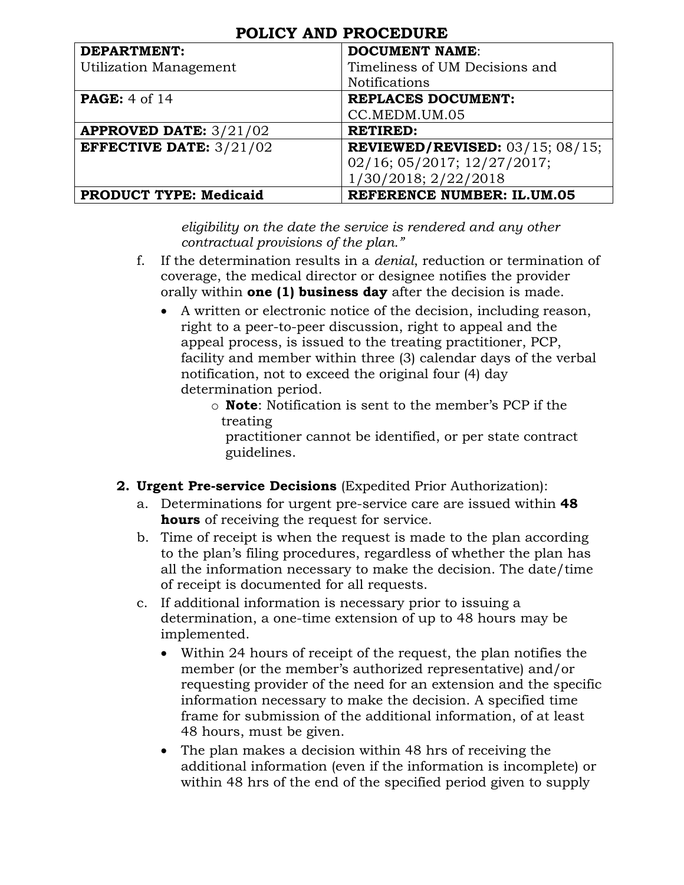| <b>DEPARTMENT:</b>               | <b>DOCUMENT NAME:</b>                 |
|----------------------------------|---------------------------------------|
| Utilization Management           | Timeliness of UM Decisions and        |
|                                  | <b>Notifications</b>                  |
| <b>PAGE:</b> 4 of 14             | <b>REPLACES DOCUMENT:</b>             |
|                                  | CC.MEDM.UM.05                         |
| <b>APPROVED DATE:</b> $3/21/02$  | <b>RETIRED:</b>                       |
| <b>EFFECTIVE DATE:</b> $3/21/02$ | REVIEWED/REVISED: $03/15$ ; $08/15$ ; |
|                                  | 02/16; 05/2017; 12/27/2017;           |
|                                  | 1/30/2018; 2/22/2018                  |
| <b>PRODUCT TYPE: Medicaid</b>    | <b>REFERENCE NUMBER: IL.UM.05</b>     |

*eligibility on the date the service is rendered and any other contractual provisions of the plan."*

- f. If the determination results in a *denial*, reduction or termination of coverage, the medical director or designee notifies the provider orally within **one (1) business day** after the decision is made.
	- A written or electronic notice of the decision, including reason, right to a peer-to-peer discussion, right to appeal and the appeal process, is issued to the treating practitioner, PCP, facility and member within three (3) calendar days of the verbal notification, not to exceed the original four (4) day determination period.
		- o **Note**: Notification is sent to the member's PCP if the treating

 practitioner cannot be identified, or per state contract guidelines.

#### **2. Urgent Pre-service Decisions** (Expedited Prior Authorization):

- a. Determinations for urgent pre-service care are issued within **48 hours** of receiving the request for service.
- b. Time of receipt is when the request is made to the plan according to the plan's filing procedures, regardless of whether the plan has all the information necessary to make the decision. The date/time of receipt is documented for all requests.
- c. If additional information is necessary prior to issuing a determination, a one-time extension of up to 48 hours may be implemented.
	- Within 24 hours of receipt of the request, the plan notifies the member (or the member's authorized representative) and/or requesting provider of the need for an extension and the specific information necessary to make the decision. A specified time frame for submission of the additional information, of at least 48 hours, must be given.
	- The plan makes a decision within 48 hrs of receiving the additional information (even if the information is incomplete) or within 48 hrs of the end of the specified period given to supply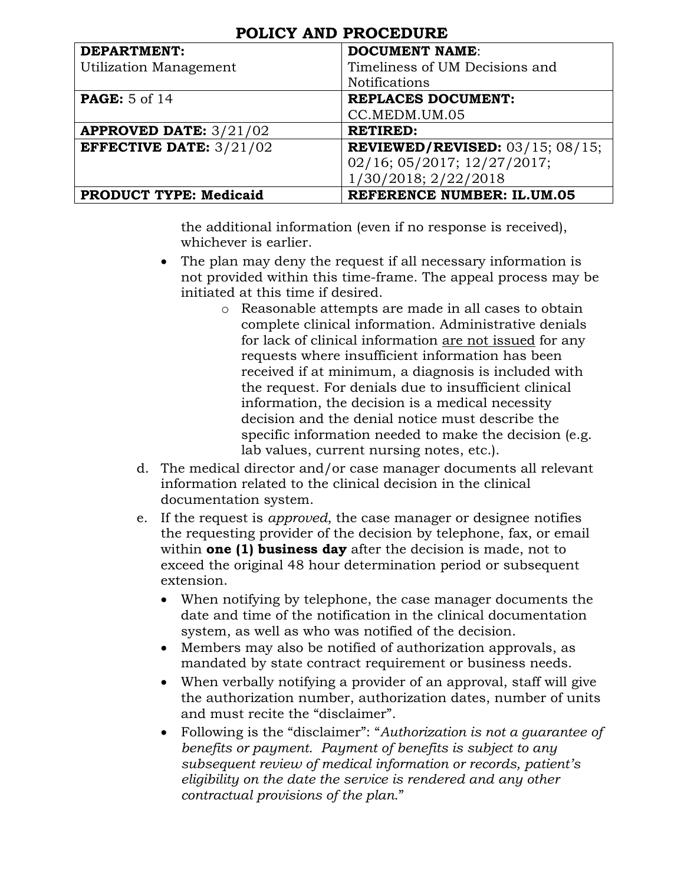| <b>DEPARTMENT:</b>              | <b>DOCUMENT NAME:</b>                 |
|---------------------------------|---------------------------------------|
| Utilization Management          | Timeliness of UM Decisions and        |
|                                 | <b>Notifications</b>                  |
| <b>PAGE:</b> 5 of 14            | <b>REPLACES DOCUMENT:</b>             |
|                                 | CC.MEDM.UM.05                         |
| <b>APPROVED DATE:</b> $3/21/02$ | <b>RETIRED:</b>                       |
| <b>EFFECTIVE DATE: 3/21/02</b>  | REVIEWED/REVISED: $03/15$ ; $08/15$ ; |
|                                 | 02/16; 05/2017; 12/27/2017;           |
|                                 | 1/30/2018; 2/22/2018                  |
| <b>PRODUCT TYPE: Medicaid</b>   | <b>REFERENCE NUMBER: IL.UM.05</b>     |

the additional information (even if no response is received), whichever is earlier.

- The plan may deny the request if all necessary information is not provided within this time-frame. The appeal process may be initiated at this time if desired.
	- o Reasonable attempts are made in all cases to obtain complete clinical information. Administrative denials for lack of clinical information are not issued for any requests where insufficient information has been received if at minimum, a diagnosis is included with the request. For denials due to insufficient clinical information, the decision is a medical necessity decision and the denial notice must describe the specific information needed to make the decision (e.g. lab values, current nursing notes, etc.).
- d. The medical director and/or case manager documents all relevant information related to the clinical decision in the clinical documentation system.
- e. If the request is *approved*, the case manager or designee notifies the requesting provider of the decision by telephone, fax, or email within **one (1) business day** after the decision is made, not to exceed the original 48 hour determination period or subsequent extension.
	- When notifying by telephone, the case manager documents the date and time of the notification in the clinical documentation system, as well as who was notified of the decision.
	- Members may also be notified of authorization approvals, as mandated by state contract requirement or business needs.
	- When verbally notifying a provider of an approval, staff will give the authorization number, authorization dates, number of units and must recite the "disclaimer".
	- Following is the "disclaimer": "*Authorization is not a guarantee of benefits or payment. Payment of benefits is subject to any subsequent review of medical information or records, patient's eligibility on the date the service is rendered and any other contractual provisions of the plan*."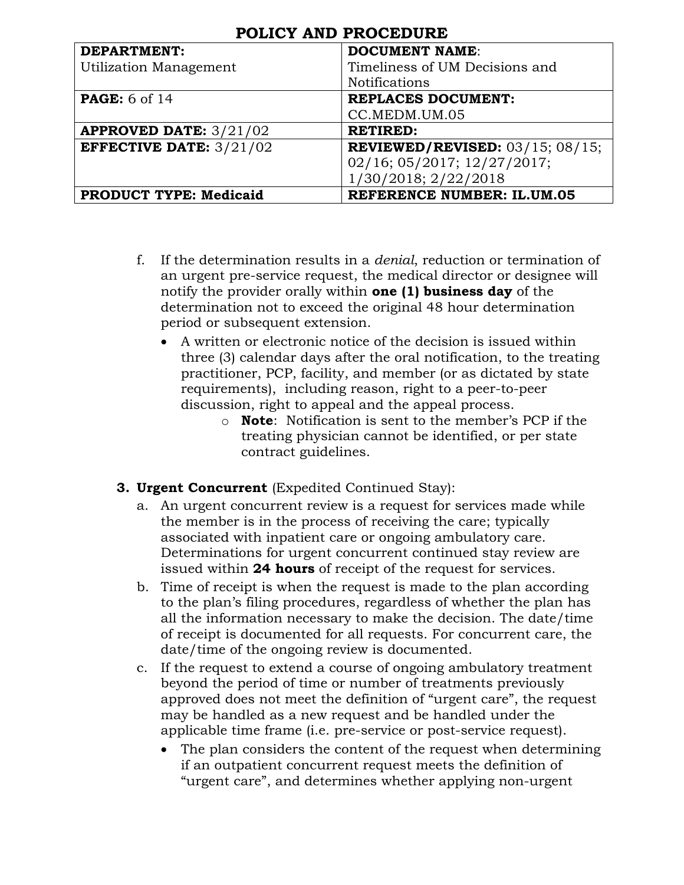| <b>DEPARTMENT:</b>               | <b>DOCUMENT NAME:</b>                        |
|----------------------------------|----------------------------------------------|
| Utilization Management           | Timeliness of UM Decisions and               |
|                                  | <b>Notifications</b>                         |
| <b>PAGE:</b> 6 of 14             | <b>REPLACES DOCUMENT:</b>                    |
|                                  | CC.MEDM.UM.05                                |
| <b>APPROVED DATE:</b> $3/21/02$  | <b>RETIRED:</b>                              |
| <b>EFFECTIVE DATE:</b> $3/21/02$ | <b>REVIEWED/REVISED:</b> $03/15$ ; $08/15$ ; |
|                                  | 02/16; 05/2017; 12/27/2017;                  |
|                                  | 1/30/2018; 2/22/2018                         |
| <b>PRODUCT TYPE: Medicaid</b>    | <b>REFERENCE NUMBER: IL.UM.05</b>            |

- f. If the determination results in a *denial*, reduction or termination of an urgent pre-service request, the medical director or designee will notify the provider orally within **one (1) business day** of the determination not to exceed the original 48 hour determination period or subsequent extension.
	- A written or electronic notice of the decision is issued within three (3) calendar days after the oral notification, to the treating practitioner, PCP, facility, and member (or as dictated by state requirements), including reason, right to a peer-to-peer discussion, right to appeal and the appeal process.
		- o **Note**: Notification is sent to the member's PCP if the treating physician cannot be identified, or per state contract guidelines.

#### **3. Urgent Concurrent** (Expedited Continued Stay):

- a. An urgent concurrent review is a request for services made while the member is in the process of receiving the care; typically associated with inpatient care or ongoing ambulatory care. Determinations for urgent concurrent continued stay review are issued within **24 hours** of receipt of the request for services.
- b. Time of receipt is when the request is made to the plan according to the plan's filing procedures, regardless of whether the plan has all the information necessary to make the decision. The date/time of receipt is documented for all requests. For concurrent care, the date/time of the ongoing review is documented.
- c. If the request to extend a course of ongoing ambulatory treatment beyond the period of time or number of treatments previously approved does not meet the definition of "urgent care", the request may be handled as a new request and be handled under the applicable time frame (i.e. pre-service or post-service request).
	- The plan considers the content of the request when determining if an outpatient concurrent request meets the definition of "urgent care", and determines whether applying non-urgent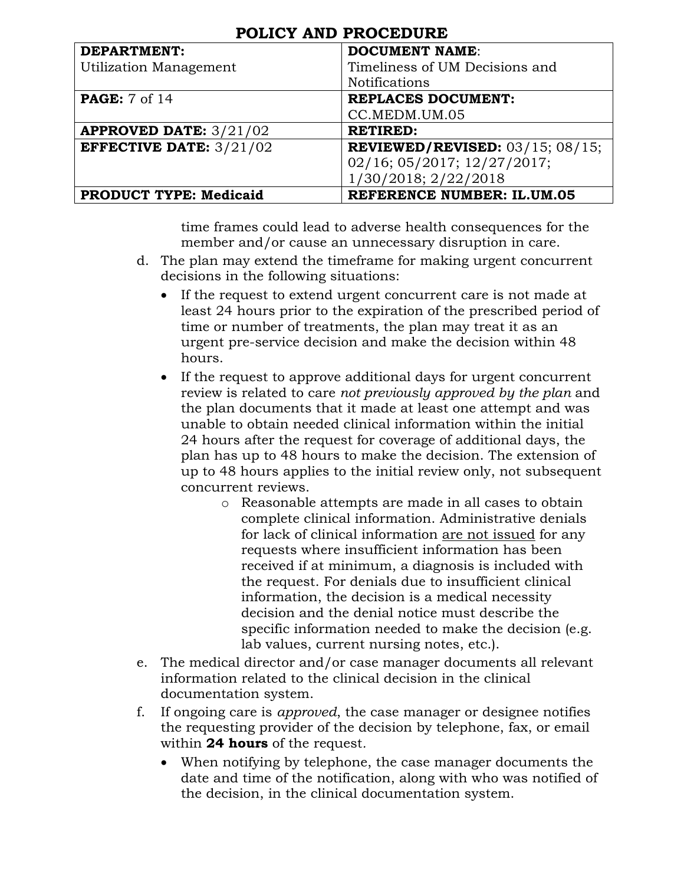| <b>DEPARTMENT:</b>               | <b>DOCUMENT NAME:</b>                 |
|----------------------------------|---------------------------------------|
| Utilization Management           | Timeliness of UM Decisions and        |
|                                  | <b>Notifications</b>                  |
| <b>PAGE:</b> 7 of 14             | <b>REPLACES DOCUMENT:</b>             |
|                                  | CC.MEDM.UM.05                         |
| <b>APPROVED DATE:</b> $3/21/02$  | <b>RETIRED:</b>                       |
| <b>EFFECTIVE DATE:</b> $3/21/02$ | REVIEWED/REVISED: $03/15$ ; $08/15$ ; |
|                                  | 02/16; 05/2017; 12/27/2017;           |
|                                  | 1/30/2018; 2/22/2018                  |
| <b>PRODUCT TYPE: Medicaid</b>    | <b>REFERENCE NUMBER: IL.UM.05</b>     |

time frames could lead to adverse health consequences for the member and/or cause an unnecessary disruption in care.

- d. The plan may extend the timeframe for making urgent concurrent decisions in the following situations:
	- If the request to extend urgent concurrent care is not made at least 24 hours prior to the expiration of the prescribed period of time or number of treatments, the plan may treat it as an urgent pre-service decision and make the decision within 48 hours.
	- If the request to approve additional days for urgent concurrent review is related to care *not previously approved by the plan* and the plan documents that it made at least one attempt and was unable to obtain needed clinical information within the initial 24 hours after the request for coverage of additional days, the plan has up to 48 hours to make the decision. The extension of up to 48 hours applies to the initial review only, not subsequent concurrent reviews.
		- o Reasonable attempts are made in all cases to obtain complete clinical information. Administrative denials for lack of clinical information are not issued for any requests where insufficient information has been received if at minimum, a diagnosis is included with the request. For denials due to insufficient clinical information, the decision is a medical necessity decision and the denial notice must describe the specific information needed to make the decision (e.g. lab values, current nursing notes, etc.).
- e. The medical director and/or case manager documents all relevant information related to the clinical decision in the clinical documentation system.
- f. If ongoing care is *approved*, the case manager or designee notifies the requesting provider of the decision by telephone, fax, or email within **24 hours** of the request*.* 
	- When notifying by telephone, the case manager documents the date and time of the notification, along with who was notified of the decision, in the clinical documentation system.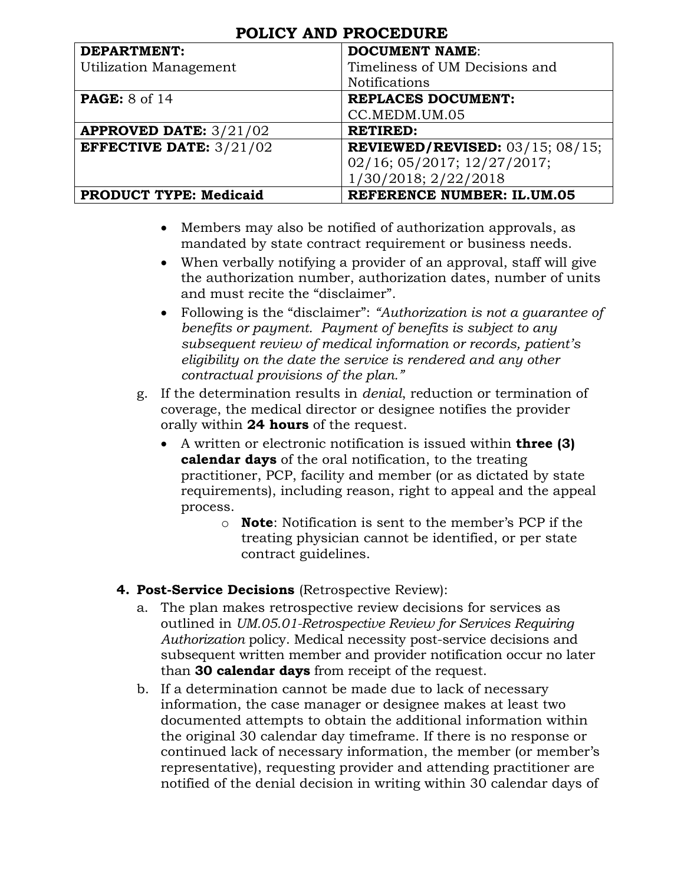| <b>DEPARTMENT:</b>               | <b>DOCUMENT NAME:</b>                 |
|----------------------------------|---------------------------------------|
| <b>Utilization Management</b>    | Timeliness of UM Decisions and        |
|                                  | <b>Notifications</b>                  |
| <b>PAGE:</b> 8 of 14             | <b>REPLACES DOCUMENT:</b>             |
|                                  | CC.MEDM.UM.05                         |
| <b>APPROVED DATE:</b> $3/21/02$  | <b>RETIRED:</b>                       |
| <b>EFFECTIVE DATE:</b> $3/21/02$ | REVIEWED/REVISED: $03/15$ ; $08/15$ ; |
|                                  | 02/16; 05/2017; 12/27/2017;           |
|                                  | 1/30/2018; 2/22/2018                  |
| <b>PRODUCT TYPE: Medicaid</b>    | <b>REFERENCE NUMBER: IL.UM.05</b>     |

- Members may also be notified of authorization approvals, as mandated by state contract requirement or business needs.
- When verbally notifying a provider of an approval, staff will give the authorization number, authorization dates, number of units and must recite the "disclaimer".
- Following is the "disclaimer": *"Authorization is not a guarantee of benefits or payment. Payment of benefits is subject to any subsequent review of medical information or records, patient's eligibility on the date the service is rendered and any other contractual provisions of the plan."*
- g. If the determination results in *denial*, reduction or termination of coverage, the medical director or designee notifies the provider orally within **24 hours** of the request.
	- A written or electronic notification is issued within **three (3) calendar days** of the oral notification, to the treating practitioner, PCP, facility and member (or as dictated by state requirements), including reason, right to appeal and the appeal process.
		- o **Note**: Notification is sent to the member's PCP if the treating physician cannot be identified, or per state contract guidelines.
- **4. Post-Service Decisions** (Retrospective Review):
	- a. The plan makes retrospective review decisions for services as outlined in *UM.05.01-Retrospective Review for Services Requiring Authorization* policy. Medical necessity post-service decisions and subsequent written member and provider notification occur no later than **30 calendar days** from receipt of the request.
	- b. If a determination cannot be made due to lack of necessary information, the case manager or designee makes at least two documented attempts to obtain the additional information within the original 30 calendar day timeframe. If there is no response or continued lack of necessary information, the member (or member's representative), requesting provider and attending practitioner are notified of the denial decision in writing within 30 calendar days of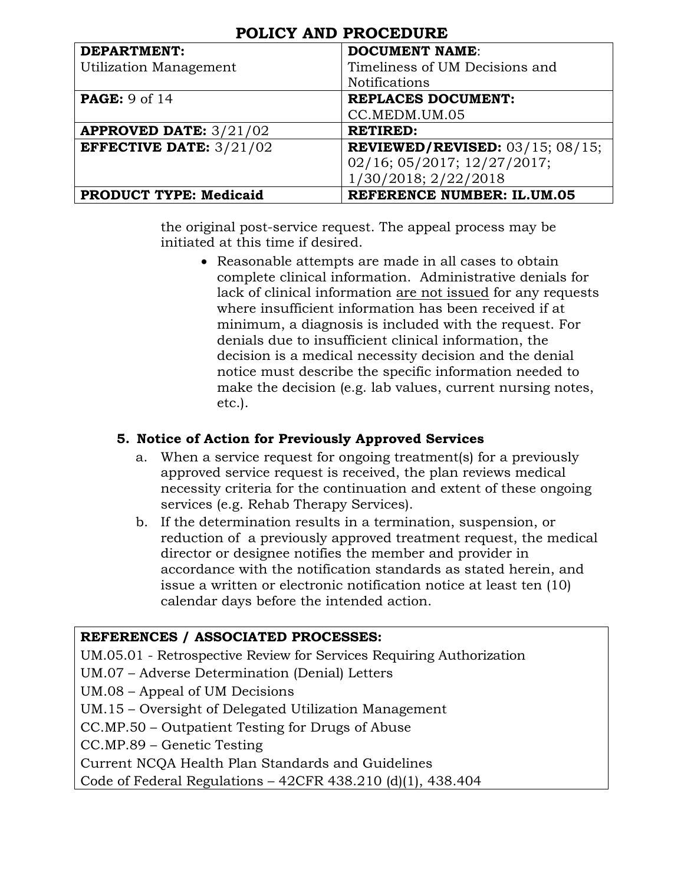| <b>POLICY AND PROCEDURE</b> |  |
|-----------------------------|--|
|-----------------------------|--|

| <b>DEPARTMENT:</b>               | <b>DOCUMENT NAME:</b>                 |
|----------------------------------|---------------------------------------|
| Utilization Management           | Timeliness of UM Decisions and        |
|                                  | <b>Notifications</b>                  |
| <b>PAGE:</b> 9 of 14             | <b>REPLACES DOCUMENT:</b>             |
|                                  | CC.MEDM.UM.05                         |
| <b>APPROVED DATE:</b> $3/21/02$  | <b>RETIRED:</b>                       |
| <b>EFFECTIVE DATE:</b> $3/21/02$ | REVIEWED/REVISED: $03/15$ ; $08/15$ ; |
|                                  | 02/16; 05/2017; 12/27/2017;           |
|                                  | 1/30/2018; 2/22/2018                  |
| <b>PRODUCT TYPE: Medicaid</b>    | <b>REFERENCE NUMBER: IL.UM.05</b>     |

the original post-service request. The appeal process may be initiated at this time if desired.

> Reasonable attempts are made in all cases to obtain complete clinical information. Administrative denials for lack of clinical information are not issued for any requests where insufficient information has been received if at minimum, a diagnosis is included with the request. For denials due to insufficient clinical information, the decision is a medical necessity decision and the denial notice must describe the specific information needed to make the decision (e.g. lab values, current nursing notes, etc.).

#### **5. Notice of Action for Previously Approved Services**

- a. When a service request for ongoing treatment(s) for a previously approved service request is received, the plan reviews medical necessity criteria for the continuation and extent of these ongoing services (e.g. Rehab Therapy Services).
- b. If the determination results in a termination, suspension, or reduction of a previously approved treatment request, the medical director or designee notifies the member and provider in accordance with the notification standards as stated herein, and issue a written or electronic notification notice at least ten (10) calendar days before the intended action.

#### **REFERENCES / ASSOCIATED PROCESSES:**

UM.05.01 - Retrospective Review for Services Requiring Authorization

UM.07 – Adverse Determination (Denial) Letters

UM.08 – Appeal of UM Decisions

UM.15 – Oversight of Delegated Utilization Management

CC.MP.50 – Outpatient Testing for Drugs of Abuse

CC.MP.89 – Genetic Testing

Current NCQA Health Plan Standards and Guidelines

Code of Federal Regulations – 42CFR 438.210 (d)(1), 438.404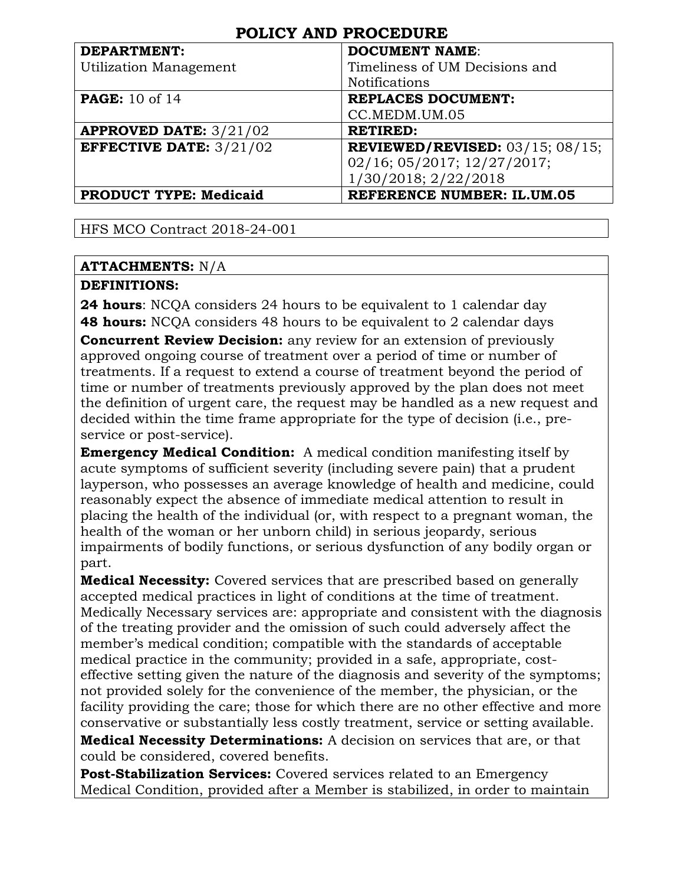| <b>DEPARTMENT:</b>               | <b>DOCUMENT NAME:</b>                 |
|----------------------------------|---------------------------------------|
| <b>Utilization Management</b>    | Timeliness of UM Decisions and        |
|                                  | <b>Notifications</b>                  |
| <b>PAGE:</b> 10 of 14            | <b>REPLACES DOCUMENT:</b>             |
|                                  | CC.MEDM.UM.05                         |
| <b>APPROVED DATE:</b> $3/21/02$  | <b>RETIRED:</b>                       |
| <b>EFFECTIVE DATE:</b> $3/21/02$ | REVIEWED/REVISED: $03/15$ ; $08/15$ ; |
|                                  | 02/16; 05/2017; 12/27/2017;           |
|                                  | 1/30/2018; 2/22/2018                  |
| <b>PRODUCT TYPE: Medicaid</b>    | <b>REFERENCE NUMBER: IL.UM.05</b>     |

HFS MCO Contract 2018-24-001

#### **ATTACHMENTS:** N/A

#### **DEFINITIONS:**

**24 hours**: NCQA considers 24 hours to be equivalent to 1 calendar day **48 hours:** NCQA considers 48 hours to be equivalent to 2 calendar days **Concurrent Review Decision:** any review for an extension of previously approved ongoing course of treatment over a period of time or number of treatments. If a request to extend a course of treatment beyond the period of time or number of treatments previously approved by the plan does not meet

the definition of urgent care, the request may be handled as a new request and decided within the time frame appropriate for the type of decision (i.e., preservice or post-service).

**Emergency Medical Condition:** A medical condition manifesting itself by acute symptoms of sufficient severity (including severe pain) that a prudent layperson, who possesses an average knowledge of health and medicine, could reasonably expect the absence of immediate medical attention to result in placing the health of the individual (or, with respect to a pregnant woman, the health of the woman or her unborn child) in serious jeopardy, serious impairments of bodily functions, or serious dysfunction of any bodily organ or part.

**Medical Necessity:** Covered services that are prescribed based on generally accepted medical practices in light of conditions at the time of treatment. Medically Necessary services are: appropriate and consistent with the diagnosis of the treating provider and the omission of such could adversely affect the member's medical condition; compatible with the standards of acceptable medical practice in the community; provided in a safe, appropriate, costeffective setting given the nature of the diagnosis and severity of the symptoms; not provided solely for the convenience of the member, the physician, or the facility providing the care; those for which there are no other effective and more conservative or substantially less costly treatment, service or setting available.

**Medical Necessity Determinations:** A decision on services that are, or that could be considered, covered benefits.

**Post-Stabilization Services:** Covered services related to an Emergency Medical Condition, provided after a Member is stabilized, in order to maintain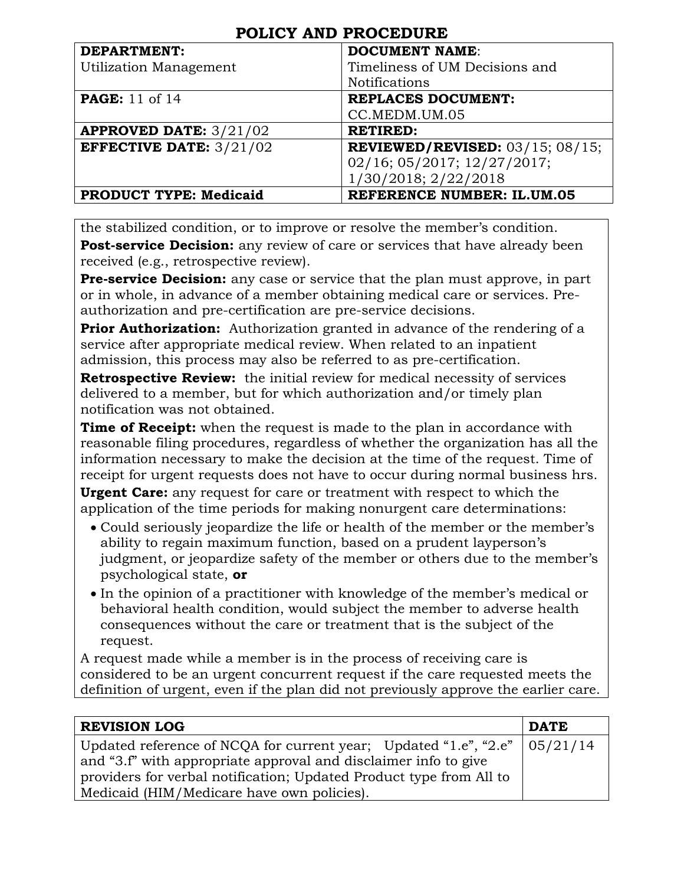| <b>DEPARTMENT:</b>               | <b>DOCUMENT NAME:</b>                 |
|----------------------------------|---------------------------------------|
| <b>Utilization Management</b>    | Timeliness of UM Decisions and        |
|                                  | <b>Notifications</b>                  |
| <b>PAGE:</b> 11 of 14            | <b>REPLACES DOCUMENT:</b>             |
|                                  | CC.MEDM.UM.05                         |
| <b>APPROVED DATE:</b> $3/21/02$  | <b>RETIRED:</b>                       |
| <b>EFFECTIVE DATE:</b> $3/21/02$ | REVIEWED/REVISED: $03/15$ ; $08/15$ ; |
|                                  | 02/16; 05/2017; 12/27/2017;           |
|                                  | 1/30/2018; 2/22/2018                  |
| <b>PRODUCT TYPE: Medicaid</b>    | <b>REFERENCE NUMBER: IL.UM.05</b>     |

the stabilized condition, or to improve or resolve the member's condition. **Post-service Decision:** any review of care or services that have already been received (e.g., retrospective review).

**Pre-service Decision:** any case or service that the plan must approve, in part or in whole, in advance of a member obtaining medical care or services. Preauthorization and pre-certification are pre-service decisions.

**Prior Authorization:** Authorization granted in advance of the rendering of a service after appropriate medical review. When related to an inpatient admission, this process may also be referred to as pre-certification.

**Retrospective Review:** the initial review for medical necessity of services delivered to a member, but for which authorization and/or timely plan notification was not obtained.

**Time of Receipt:** when the request is made to the plan in accordance with reasonable filing procedures, regardless of whether the organization has all the information necessary to make the decision at the time of the request. Time of receipt for urgent requests does not have to occur during normal business hrs.

**Urgent Care:** any request for care or treatment with respect to which the application of the time periods for making nonurgent care determinations:

- Could seriously jeopardize the life or health of the member or the member's ability to regain maximum function, based on a prudent layperson's judgment, or jeopardize safety of the member or others due to the member's psychological state, **or**
- In the opinion of a practitioner with knowledge of the member's medical or behavioral health condition, would subject the member to adverse health consequences without the care or treatment that is the subject of the request.

A request made while a member is in the process of receiving care is considered to be an urgent concurrent request if the care requested meets the definition of urgent, even if the plan did not previously approve the earlier care.

| <b>REVISION LOG</b>                                                               | <b>DATE</b> |
|-----------------------------------------------------------------------------------|-------------|
| Updated reference of NCQA for current year; Updated "1.e", "2.e" $\vert$ 05/21/14 |             |
| and "3.f" with appropriate approval and disclaimer info to give                   |             |
| providers for verbal notification; Updated Product type from All to               |             |
| Medicaid (HIM/Medicare have own policies).                                        |             |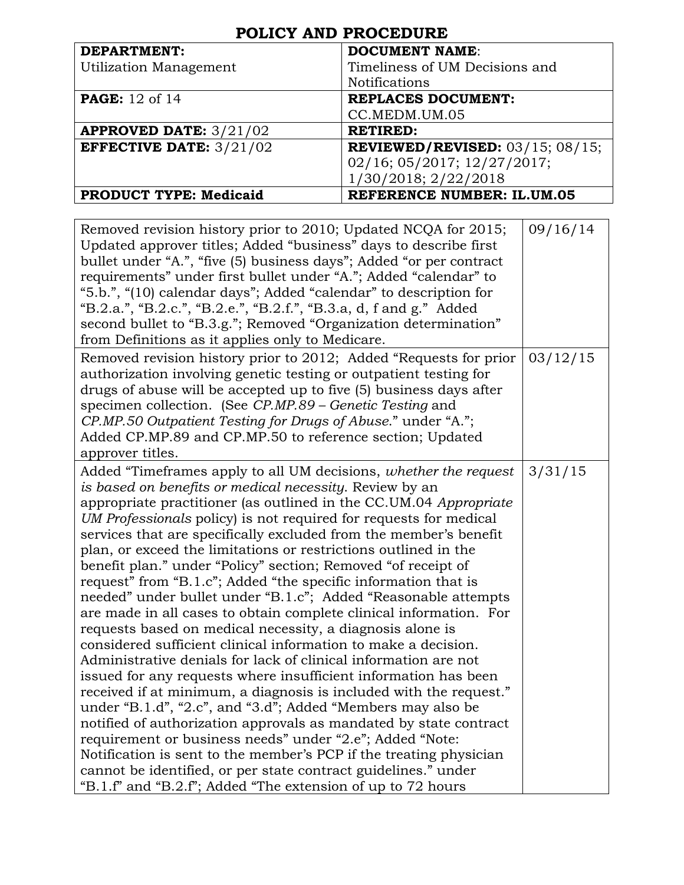| <b>DEPARTMENT:</b>               | <b>DOCUMENT NAME:</b>                        |
|----------------------------------|----------------------------------------------|
| <b>Utilization Management</b>    | Timeliness of UM Decisions and               |
|                                  | <b>Notifications</b>                         |
| <b>PAGE:</b> 12 of 14            | <b>REPLACES DOCUMENT:</b>                    |
|                                  | CC.MEDM.UM.05                                |
| <b>APPROVED DATE:</b> $3/21/02$  | <b>RETIRED:</b>                              |
| <b>EFFECTIVE DATE:</b> $3/21/02$ | <b>REVIEWED/REVISED:</b> $03/15$ ; $08/15$ ; |
|                                  | 02/16; 05/2017; 12/27/2017;                  |
|                                  | 1/30/2018; 2/22/2018                         |
| <b>PRODUCT TYPE: Medicaid</b>    | <b>REFERENCE NUMBER: IL.UM.05</b>            |

| Removed revision history prior to 2010; Updated NCQA for 2015;<br>Updated approver titles; Added "business" days to describe first<br>bullet under "A.", "five (5) business days"; Added "or per contract<br>requirements" under first bullet under "A."; Added "calendar" to<br>"5.b.", "(10) calendar days"; Added "calendar" to description for<br>"B.2.a.", "B.2.c.", "B.2.e.", "B.2.f.", "B.3.a, d, f and g." Added<br>second bullet to "B.3.g."; Removed "Organization determination"<br>from Definitions as it applies only to Medicare.                                                                                                                                                                                                                                                                                                                                                                                                                                                                                                                                                                                                                                                                                                                                                                                                                                                                                            | 09/16/14 |
|--------------------------------------------------------------------------------------------------------------------------------------------------------------------------------------------------------------------------------------------------------------------------------------------------------------------------------------------------------------------------------------------------------------------------------------------------------------------------------------------------------------------------------------------------------------------------------------------------------------------------------------------------------------------------------------------------------------------------------------------------------------------------------------------------------------------------------------------------------------------------------------------------------------------------------------------------------------------------------------------------------------------------------------------------------------------------------------------------------------------------------------------------------------------------------------------------------------------------------------------------------------------------------------------------------------------------------------------------------------------------------------------------------------------------------------------|----------|
| Removed revision history prior to 2012; Added "Requests for prior<br>authorization involving genetic testing or outpatient testing for<br>drugs of abuse will be accepted up to five (5) business days after<br>specimen collection. (See CP.MP.89 – Genetic Testing and<br>CP.MP.50 Outpatient Testing for Drugs of Abuse." under "A.";<br>Added CP.MP.89 and CP.MP.50 to reference section; Updated<br>approver titles.                                                                                                                                                                                                                                                                                                                                                                                                                                                                                                                                                                                                                                                                                                                                                                                                                                                                                                                                                                                                                  | 03/12/15 |
| Added "Timeframes apply to all UM decisions, whether the request<br>is based on benefits or medical necessity. Review by an<br>appropriate practitioner (as outlined in the CC.UM.04 Appropriate<br>UM Professionals policy) is not required for requests for medical<br>services that are specifically excluded from the member's benefit<br>plan, or exceed the limitations or restrictions outlined in the<br>benefit plan." under "Policy" section; Removed "of receipt of<br>request" from "B.1.c"; Added "the specific information that is<br>needed" under bullet under "B.1.c"; Added "Reasonable attempts<br>are made in all cases to obtain complete clinical information. For<br>requests based on medical necessity, a diagnosis alone is<br>considered sufficient clinical information to make a decision.<br>Administrative denials for lack of clinical information are not<br>issued for any requests where insufficient information has been<br>received if at minimum, a diagnosis is included with the request."<br>under "B.1.d", "2.c", and "3.d"; Added "Members may also be<br>notified of authorization approvals as mandated by state contract<br>requirement or business needs" under "2.e"; Added "Note:<br>Notification is sent to the member's PCP if the treating physician<br>cannot be identified, or per state contract guidelines." under<br>"B.1.f" and "B.2.f"; Added "The extension of up to 72 hours | 3/31/15  |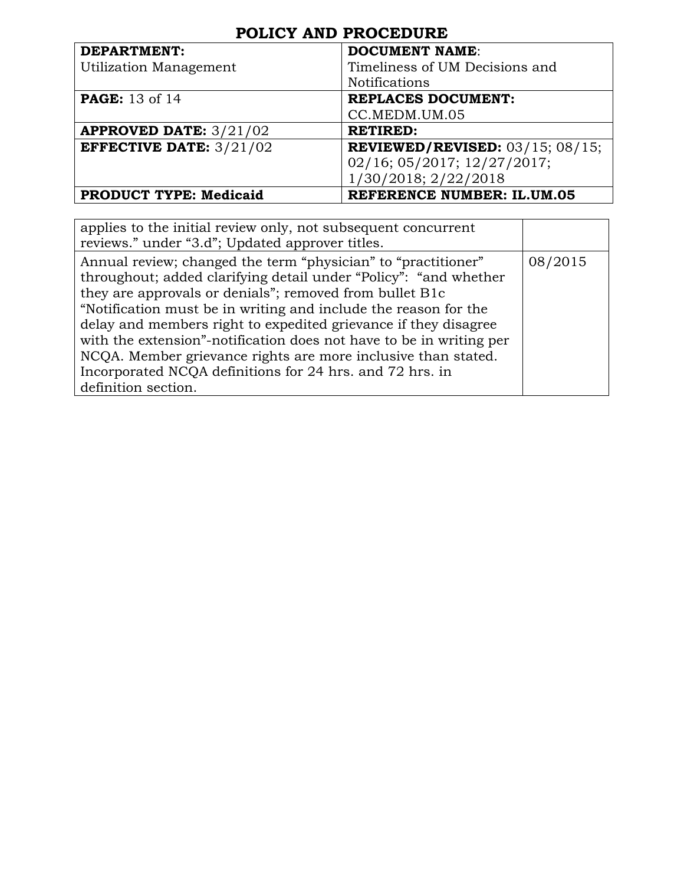| <b>DEPARTMENT:</b>               | <b>DOCUMENT NAME:</b>                        |
|----------------------------------|----------------------------------------------|
| <b>Utilization Management</b>    | Timeliness of UM Decisions and               |
|                                  | <b>Notifications</b>                         |
| <b>PAGE:</b> 13 of 14            | <b>REPLACES DOCUMENT:</b>                    |
|                                  | CC.MEDM.UM.05                                |
| <b>APPROVED DATE:</b> $3/21/02$  | <b>RETIRED:</b>                              |
| <b>EFFECTIVE DATE:</b> $3/21/02$ | <b>REVIEWED/REVISED:</b> $03/15$ ; $08/15$ ; |
|                                  | 02/16; 05/2017; 12/27/2017;                  |
|                                  | 1/30/2018; 2/22/2018                         |
| <b>PRODUCT TYPE: Medicaid</b>    | <b>REFERENCE NUMBER: IL.UM.05</b>            |

| applies to the initial review only, not subsequent concurrent<br>reviews." under "3.d"; Updated approver titles.                                                                                                                                                                                                                                                                                                                                                                                                                                              |         |
|---------------------------------------------------------------------------------------------------------------------------------------------------------------------------------------------------------------------------------------------------------------------------------------------------------------------------------------------------------------------------------------------------------------------------------------------------------------------------------------------------------------------------------------------------------------|---------|
| Annual review; changed the term "physician" to "practitioner"<br>throughout; added clarifying detail under "Policy": "and whether<br>they are approvals or denials"; removed from bullet B1c<br>"Notification must be in writing and include the reason for the<br>delay and members right to expedited grievance if they disagree<br>with the extension"-notification does not have to be in writing per<br>NCQA. Member grievance rights are more inclusive than stated.<br>Incorporated NCQA definitions for 24 hrs. and 72 hrs. in<br>definition section. | 08/2015 |